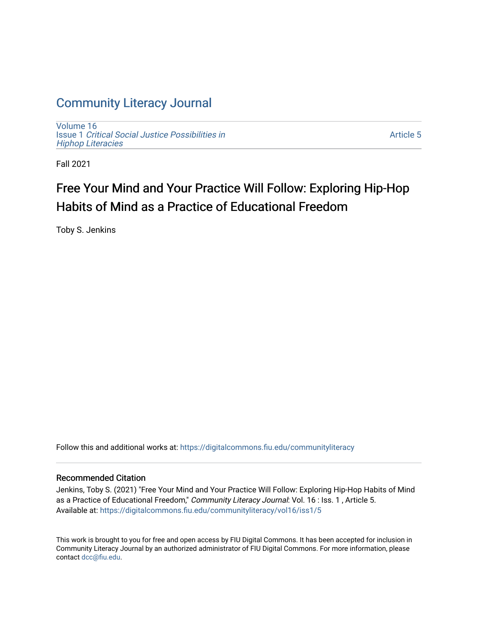## [Community Literacy Journal](https://digitalcommons.fiu.edu/communityliteracy)

[Volume 16](https://digitalcommons.fiu.edu/communityliteracy/vol16) Issue 1 [Critical Social Justice Possibilities in](https://digitalcommons.fiu.edu/communityliteracy/vol16/iss1) [Hiphop Literacies](https://digitalcommons.fiu.edu/communityliteracy/vol16/iss1)

[Article 5](https://digitalcommons.fiu.edu/communityliteracy/vol16/iss1/5) 

Fall 2021

# Free Your Mind and Your Practice Will Follow: Exploring Hip-Hop Habits of Mind as a Practice of Educational Freedom

Toby S. Jenkins

Follow this and additional works at: [https://digitalcommons.fiu.edu/communityliteracy](https://digitalcommons.fiu.edu/communityliteracy?utm_source=digitalcommons.fiu.edu%2Fcommunityliteracy%2Fvol16%2Fiss1%2F5&utm_medium=PDF&utm_campaign=PDFCoverPages)

#### Recommended Citation

Jenkins, Toby S. (2021) "Free Your Mind and Your Practice Will Follow: Exploring Hip-Hop Habits of Mind as a Practice of Educational Freedom," Community Literacy Journal: Vol. 16 : Iss. 1, Article 5. Available at: [https://digitalcommons.fiu.edu/communityliteracy/vol16/iss1/5](https://digitalcommons.fiu.edu/communityliteracy/vol16/iss1/5?utm_source=digitalcommons.fiu.edu%2Fcommunityliteracy%2Fvol16%2Fiss1%2F5&utm_medium=PDF&utm_campaign=PDFCoverPages) 

This work is brought to you for free and open access by FIU Digital Commons. It has been accepted for inclusion in Community Literacy Journal by an authorized administrator of FIU Digital Commons. For more information, please contact [dcc@fiu.edu](mailto:dcc@fiu.edu).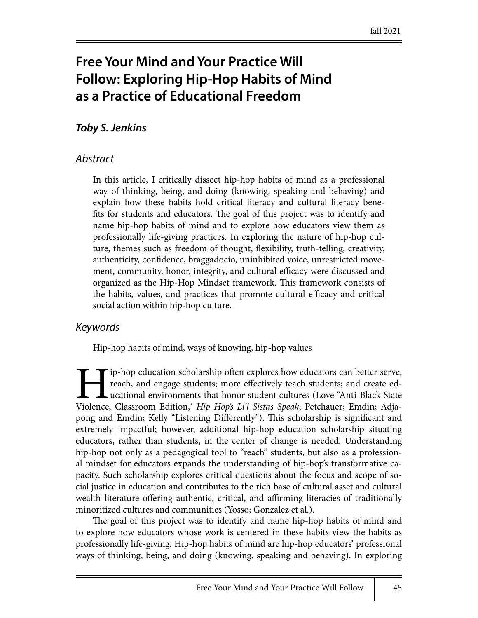# **Free Your Mind and Your Practice Will Follow: Exploring Hip-Hop Habits of Mind as a Practice of Educational Freedom**

### *Toby S. Jenkins*

#### *Abstract*

In this article, I critically dissect hip-hop habits of mind as a professional way of thinking, being, and doing (knowing, speaking and behaving) and explain how these habits hold critical literacy and cultural literacy bene fits for students and educators. The goal of this project was to identify and name hip-hop habits of mind and to explore how educators view them as professionally life-giving practices. In exploring the nature of hip-hop culture, themes such as freedom of thought, flexibility, truth-telling, creativity, authenticity, confidence, braggadocio, uninhibited voice, unrestricted movement, community, honor, integrity, and cultural efficacy were discussed and organized as the Hip-Hop Mindset framework. This framework consists of the habits, values, and practices that promote cultural efficacy and critical social action within hip-hop culture.

### *Keywords*

Hip-hop habits of mind, ways of knowing, hip-hop values

rip-hop education scholarship often explores how educators can better serve, reach, and engage students; more effectively teach students; and create educational environments that honor student cultures (Love "Anti-Black State Violence, Classroom Edition," *Hip Hop's Li'l Sistas Speak*; Petchauer; Emdin; Adjapong and Emdin; Kelly "Listening Differently"). This scholarship is significant and extremely impactful; however, additional hip-hop education scholarship situating educators, rather than students, in the center of change is needed. Understanding hip-hop not only as a pedagogical tool to "reach" students, but also as a professional mindset for educators expands the understanding of hip-hop's transformative capacity. Such scholarship explores critical questions about the focus and scope of social justice in education and contributes to the rich base of cultural asset and cultural wealth literature offering authentic, critical, and affirming literacies of traditionally minoritized cultures and communities (Yosso; Gonzalez et al.).

The goal of this project was to identify and name hip-hop habits of mind and to explore how educators whose work is centered in these habits view the habits as professionally life-giving. Hip-hop habits of mind are hip-hop educators' professional ways of thinking, being, and doing (knowing, speaking and behaving). In exploring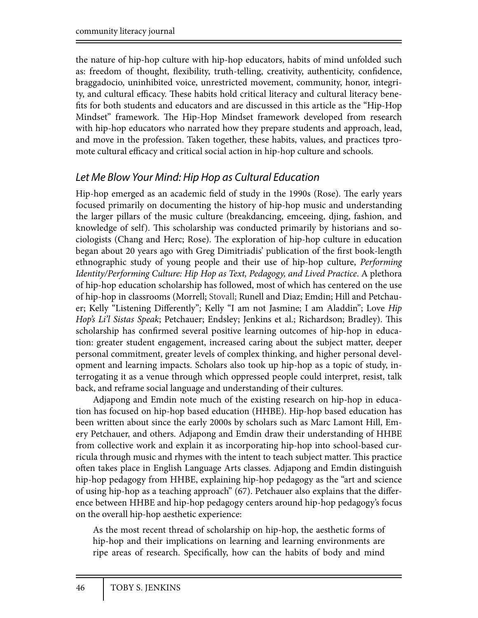the nature of hip-hop culture with hip-hop educators, habits of mind unfolded such as: freedom of thought, flexibility, truth-telling, creativity, authenticity, confidence, braggadocio, uninhibited voice, unrestricted movement, community, honor, integrity, and cultural efficacy. These habits hold critical literacy and cultural literacy benefits for both students and educators and are discussed in this article as the "Hip-Hop Mindset" framework. The Hip-Hop Mindset framework developed from research with hip-hop educators who narrated how they prepare students and approach, lead, and move in the profession. Taken together, these habits, values, and practices tpromote cultural efficacy and critical social action in hip-hop culture and schools.

### *Let Me Blow Your Mind: Hip Hop as Cultural Education*

Hip-hop emerged as an academic field of study in the 1990s (Rose). The early years focused primarily on documenting the history of hip-hop music and understanding the larger pillars of the music culture (breakdancing, emceeing, djing, fashion, and knowledge of self). This scholarship was conducted primarily by historians and sociologists (Chang and Herc; Rose). The exploration of hip-hop culture in education began about 20 years ago with Greg Dimitriadis' publication of the first book-length ethnographic study of young people and their use of hip-hop culture, *Performing Identity/Performing Culture: Hip Hop as Text, Pedagogy, and Lived Practice*. A plethora of hip-hop education scholarship has followed, most of which has centered on the use of hip-hop in classrooms (Morrell; Stovall; Runell and Diaz; Emdin; Hill and Petchauer; Kelly "Listening Differently"; Kelly "I am not Jasmine; I am Aladdin"; Love *Hip Hop's Li'l Sistas Speak*; Petchauer; Endsley; Jenkins et al.; Richardson; Bradley). This scholarship has confirmed several positive learning outcomes of hip-hop in education: greater student engagement, increased caring about the subject matter, deeper personal commitment, greater levels of complex thinking, and higher personal development and learning impacts. Scholars also took up hip-hop as a topic of study, interrogating it as a venue through which oppressed people could interpret, resist, talk back, and reframe social language and understanding of their cultures.

Adjapong and Emdin note much of the existing research on hip-hop in education has focused on hip-hop based education (HHBE). Hip-hop based education has been written about since the early 2000s by scholars such as Marc Lamont Hill, Emery Petchauer, and others. Adjapong and Emdin draw their understanding of HHBE from collective work and explain it as incorporating hip-hop into school-based curricula through music and rhymes with the intent to teach subject matter. This practice often takes place in English Language Arts classes. Adjapong and Emdin distinguish hip-hop pedagogy from HHBE, explaining hip-hop pedagogy as the "art and science of using hip-hop as a teaching approach" (67). Petchauer also explains that the difference between HHBE and hip-hop pedagogy centers around hip-hop pedagogy's focus on the overall hip-hop aesthetic experience:

As the most recent thread of scholarship on hip-hop, the aesthetic forms of hip-hop and their implications on learning and learning environments are ripe areas of research. Specifically, how can the habits of body and mind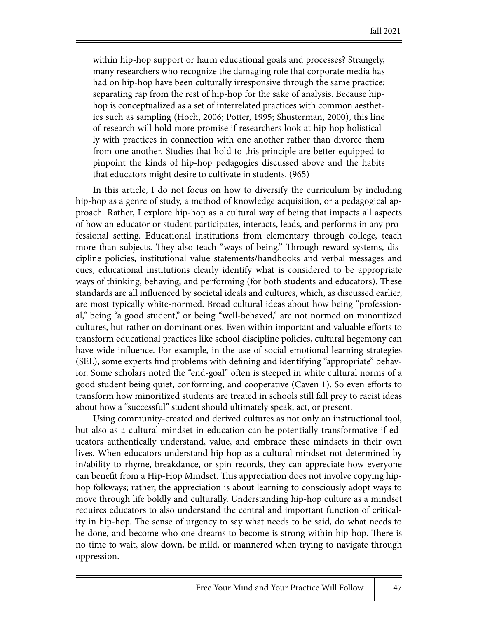within hip-hop support or harm educational goals and processes? Strangely, many researchers who recognize the damaging role that corporate media has had on hip-hop have been culturally irresponsive through the same practice: separating rap from the rest of hip-hop for the sake of analysis. Because hiphop is conceptualized as a set of interrelated practices with common aesthetics such as sampling (Hoch, 2006; Potter, 1995; Shusterman, 2000), this line of research will hold more promise if researchers look at hip-hop holistically with practices in connection with one another rather than divorce them from one another. Studies that hold to this principle are better equipped to pinpoint the kinds of hip-hop pedagogies discussed above and the habits that educators might desire to cultivate in students. (965)

In this article, I do not focus on how to diversify the curriculum by including hip-hop as a genre of study, a method of knowledge acquisition, or a pedagogical approach. Rather, I explore hip-hop as a cultural way of being that impacts all aspects of how an educator or student participates, interacts, leads, and performs in any professional setting. Educational institutions from elementary through college, teach more than subjects. They also teach "ways of being." Through reward systems, discipline policies, institutional value statements/handbooks and verbal messages and cues, educational institutions clearly identify what is considered to be appropriate ways of thinking, behaving, and performing (for both students and educators). These standards are all influenced by societal ideals and cultures, which, as discussed earlier, are most typically white-normed. Broad cultural ideas about how being "professional," being "a good student," or being "well-behaved," are not normed on minoritized cultures, but rather on dominant ones. Even within important and valuable efforts to transform educational practices like school discipline policies, cultural hegemony can have wide influence. For example, in the use of social-emotional learning strategies (SEL), some experts find problems with defining and identifying "appropriate" behavior. Some scholars noted the "end-goal" often is steeped in white cultural norms of a good student being quiet, conforming, and cooperative (Caven 1). So even efforts to transform how minoritized students are treated in schools still fall prey to racist ideas about how a "successful" student should ultimately speak, act, or present.

Using community-created and derived cultures as not only an instructional tool, but also as a cultural mindset in education can be potentially transformative if educators authentically understand, value, and embrace these mindsets in their own lives. When educators understand hip-hop as a cultural mindset not determined by in/ability to rhyme, breakdance, or spin records, they can appreciate how everyone can benefit from a Hip-Hop Mindset. This appreciation does not involve copying hiphop folkways; rather, the appreciation is about learning to consciously adopt ways to move through life boldly and culturally. Understanding hip-hop culture as a mindset requires educators to also understand the central and important function of criticality in hip-hop. The sense of urgency to say what needs to be said, do what needs to be done, and become who one dreams to become is strong within hip-hop. There is no time to wait, slow down, be mild, or mannered when trying to navigate through oppression.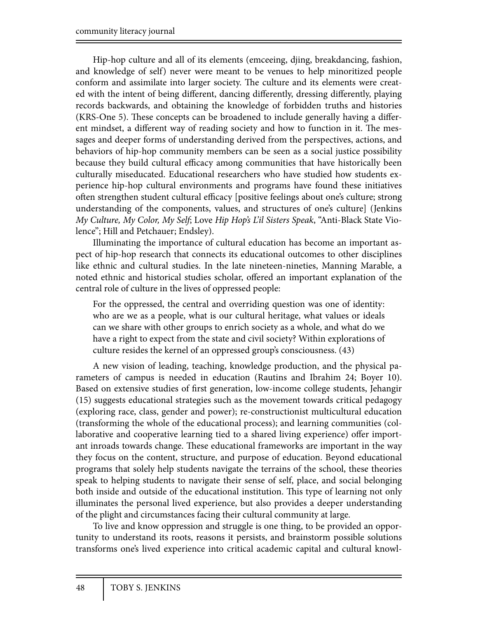Hip-hop culture and all of its elements (emceeing, djing, breakdancing, fashion, and knowledge of self) never were meant to be venues to help minoritized people conform and assimilate into larger society. The culture and its elements were created with the intent of being different, dancing differently, dressing differently, playing records backwards, and obtaining the knowledge of forbidden truths and histories (KRS-One 5). These concepts can be broadened to include generally having a different mindset, a different way of reading society and how to function in it. The messages and deeper forms of understanding derived from the perspectives, actions, and behaviors of hip-hop community members can be seen as a social justice possibility because they build cultural efficacy among communities that have historically been culturally miseducated. Educational researchers who have studied how students experience hip-hop cultural environments and programs have found these initiatives often strengthen student cultural efficacy [positive feelings about one's culture; strong understanding of the components, values, and structures of one's culture] (Jenkins *My Culture, My Color, My Self*; Love *Hip Hop's L'il Sisters Speak*, "Anti-Black State Violence"; Hill and Petchauer; Endsley).

Illuminating the importance of cultural education has become an important aspect of hip-hop research that connects its educational outcomes to other disciplines like ethnic and cultural studies. In the late nineteen-nineties, Manning Marable, a noted ethnic and historical studies scholar, offered an important explanation of the central role of culture in the lives of oppressed people:

For the oppressed, the central and overriding question was one of identity: who are we as a people, what is our cultural heritage, what values or ideals can we share with other groups to enrich society as a whole, and what do we have a right to expect from the state and civil society? Within explorations of culture resides the kernel of an oppressed group's consciousness. (43)

A new vision of leading, teaching, knowledge production, and the physical parameters of campus is needed in education (Rautins and Ibrahim 24; Boyer 10). Based on extensive studies of first generation, low-income college students, Jehangir (15) suggests educational strategies such as the movement towards critical pedagogy (exploring race, class, gender and power); re-constructionist multicultural education (transforming the whole of the educational process); and learning communities (collaborative and cooperative learning tied to a shared living experience) offer important inroads towards change. These educational frameworks are important in the way they focus on the content, structure, and purpose of education. Beyond educational programs that solely help students navigate the terrains of the school, these theories speak to helping students to navigate their sense of self, place, and social belonging both inside and outside of the educational institution. This type of learning not only illuminates the personal lived experience, but also provides a deeper understanding of the plight and circumstances facing their cultural community at large.

To live and know oppression and struggle is one thing, to be provided an opportunity to understand its roots, reasons it persists, and brainstorm possible solutions transforms one's lived experience into critical academic capital and cultural knowl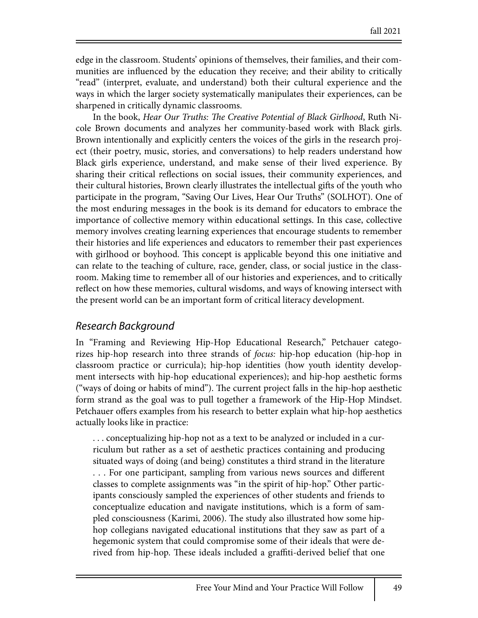edge in the classroom. Students' opinions of themselves, their families, and their communities are influenced by the education they receive; and their ability to critically "read" (interpret, evaluate, and understand) both their cultural experience and the ways in which the larger society systematically manipulates their experiences, can be sharpened in critically dynamic classrooms.

In the book, *Hear Our Truths:* !*e Creative Potential of Black Girlhood*, Ruth Nicole Brown documents and analyzes her community-based work with Black girls. Brown intentionally and explicitly centers the voices of the girls in the research project (their poetry, music, stories, and conversations) to help readers understand how Black girls experience, understand, and make sense of their lived experience. By sharing their critical reflections on social issues, their community experiences, and their cultural histories, Brown clearly illustrates the intellectual gifts of the youth who participate in the program, "Saving Our Lives, Hear Our Truths" (SOLHOT). One of the most enduring messages in the book is its demand for educators to embrace the importance of collective memory within educational settings. In this case, collective memory involves creating learning experiences that encourage students to remember their histories and life experiences and educators to remember their past experiences with girlhood or boyhood. This concept is applicable beyond this one initiative and can relate to the teaching of culture, race, gender, class, or social justice in the classroom. Making time to remember all of our histories and experiences, and to critically reflect on how these memories, cultural wisdoms, and ways of knowing intersect with the present world can be an important form of critical literacy development.

### *Research Background*

In "Framing and Reviewing Hip-Hop Educational Research," Petchauer categorizes hip-hop research into three strands of *focus:* hip-hop education (hip-hop in classroom practice or curricula); hip-hop identities (how youth identity development intersects with hip-hop educational experiences); and hip-hop aesthetic forms ("ways of doing or habits of mind"). The current project falls in the hip-hop aesthetic form strand as the goal was to pull together a framework of the Hip-Hop Mindset. Petchauer offers examples from his research to better explain what hip-hop aesthetics actually looks like in practice:

. . . conceptualizing hip-hop not as a text to be analyzed or included in a curriculum but rather as a set of aesthetic practices containing and producing situated ways of doing (and being) constitutes a third strand in the literature ... For one participant, sampling from various news sources and different classes to complete assignments was "in the spirit of hip-hop." Other participants consciously sampled the experiences of other students and friends to conceptualize education and navigate institutions, which is a form of sampled consciousness (Karimi, 2006). The study also illustrated how some hiphop collegians navigated educational institutions that they saw as part of a hegemonic system that could compromise some of their ideals that were derived from hip-hop. These ideals included a graffiti-derived belief that one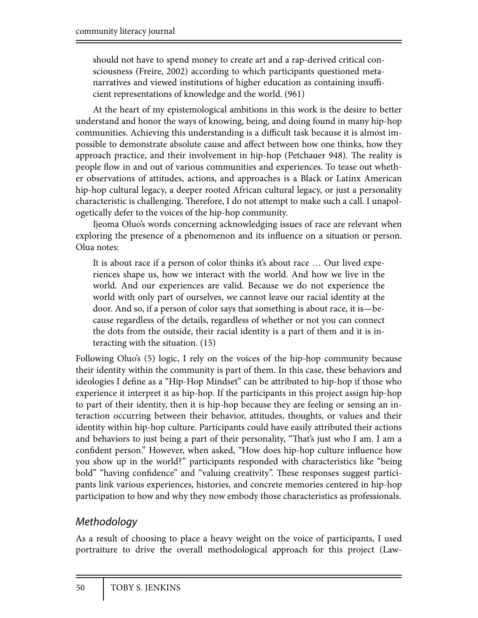should not have to spend money to create art and a rap-derived critical consciousness (Freire, 2002) according to which participants questioned metanarratives and viewed institutions of higher education as containing insufficient representations of knowledge and the world. (961)

At the heart of my epistemological ambitions in this work is the desire to better understand and honor the ways of knowing, being, and doing found in many hip-hop communities. Achieving this understanding is a difficult task because it is almost impossible to demonstrate absolute cause and affect between how one thinks, how they approach practice, and their involvement in hip-hop (Petchauer 948). The reality is people flow in and out of various communities and experiences. To tease out whether observations of attitudes, actions, and approaches is a Black or Latinx American hip-hop cultural legacy, a deeper rooted African cultural legacy, or just a personality characteristic is challenging. Therefore, I do not attempt to make such a call. I unapologetically defer to the voices of the hip-hop community.

Ijeoma Oluo's words concerning acknowledging issues of race are relevant when exploring the presence of a phenomenon and its influence on a situation or person. Olua notes:

It is about race if a person of color thinks it's about race … Our lived experiences shape us, how we interact with the world. And how we live in the world. And our experiences are valid. Because we do not experience the world with only part of ourselves, we cannot leave our racial identity at the door. And so, if a person of color says that something is about race, it is—because regardless of the details, regardless of whether or not you can connect the dots from the outside, their racial identity is a part of them and it is interacting with the situation. (15)

Following Oluo's (5) logic, I rely on the voices of the hip-hop community because their identity within the community is part of them. In this case, these behaviors and ideologies I define as a "Hip-Hop Mindset" can be attributed to hip-hop if those who experience it interpret it as hip-hop. If the participants in this project assign hip-hop to part of their identity, then it is hip-hop because they are feeling or sensing an interaction occurring between their behavior, attitudes, thoughts, or values and their identity within hip-hop culture. Participants could have easily attributed their actions and behaviors to just being a part of their personality, "That's just who I am. I am a confident person." However, when asked, "How does hip-hop culture influence how you show up in the world?" participants responded with characteristics like "being bold" "having confidence" and "valuing creativity". These responses suggest participants link various experiences, histories, and concrete memories centered in hip-hop participation to how and why they now embody those characteristics as professionals.

### *Methodology*

As a result of choosing to place a heavy weight on the voice of participants, I used portraiture to drive the overall methodological approach for this project (Law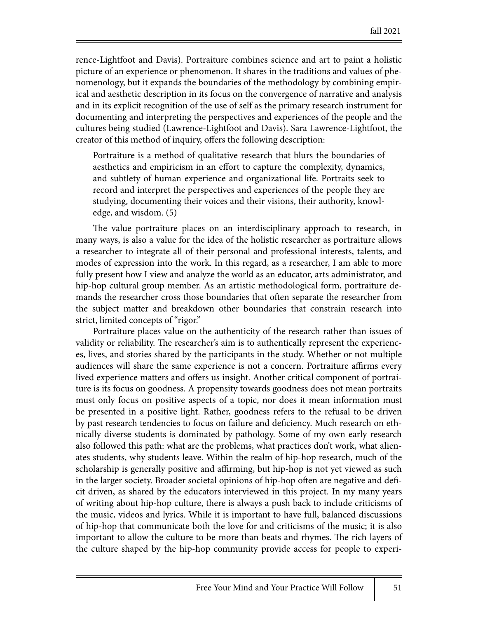rence-Lightfoot and Davis). Portraiture combines science and art to paint a holistic picture of an experience or phenomenon. It shares in the traditions and values of phenomenology, but it expands the boundaries of the methodology by combining empirical and aesthetic description in its focus on the convergence of narrative and analysis and in its explicit recognition of the use of self as the primary research instrument for documenting and interpreting the perspectives and experiences of the people and the cultures being studied (Lawrence-Lightfoot and Davis). Sara Lawrence-Lightfoot, the creator of this method of inquiry, offers the following description:

Portraiture is a method of qualitative research that blurs the boundaries of aesthetics and empiricism in an effort to capture the complexity, dynamics, and subtlety of human experience and organizational life. Portraits seek to record and interpret the perspectives and experiences of the people they are studying, documenting their voices and their visions, their authority, knowledge, and wisdom. (5)

The value portraiture places on an interdisciplinary approach to research, in many ways, is also a value for the idea of the holistic researcher as portraiture allows a researcher to integrate all of their personal and professional interests, talents, and modes of expression into the work. In this regard, as a researcher, I am able to more fully present how I view and analyze the world as an educator, arts administrator, and hip-hop cultural group member. As an artistic methodological form, portraiture demands the researcher cross those boundaries that often separate the researcher from the subject matter and breakdown other boundaries that constrain research into strict, limited concepts of "rigor."

Portraiture places value on the authenticity of the research rather than issues of validity or reliability. The researcher's aim is to authentically represent the experiences, lives, and stories shared by the participants in the study. Whether or not multiple audiences will share the same experience is not a concern. Portraiture affirms every lived experience matters and offers us insight. Another critical component of portraiture is its focus on goodness. A propensity towards goodness does not mean portraits must only focus on positive aspects of a topic, nor does it mean information must be presented in a positive light. Rather, goodness refers to the refusal to be driven by past research tendencies to focus on failure and deficiency. Much research on ethnically diverse students is dominated by pathology. Some of my own early research also followed this path: what are the problems, what practices don't work, what alienates students, why students leave. Within the realm of hip-hop research, much of the scholarship is generally positive and affirming, but hip-hop is not yet viewed as such in the larger society. Broader societal opinions of hip-hop often are negative and deficit driven, as shared by the educators interviewed in this project. In my many years of writing about hip-hop culture, there is always a push back to include criticisms of the music, videos and lyrics. While it is important to have full, balanced discussions of hip-hop that communicate both the love for and criticisms of the music; it is also important to allow the culture to be more than beats and rhymes. The rich layers of the culture shaped by the hip-hop community provide access for people to experi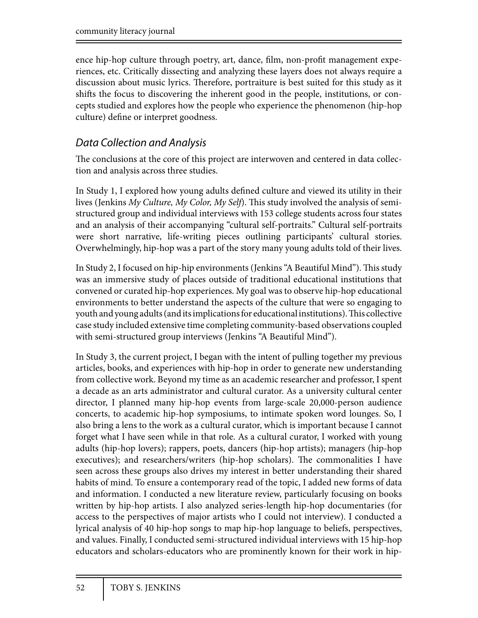ence hip-hop culture through poetry, art, dance, film, non-profit management experiences, etc. Critically dissecting and analyzing these layers does not always require a discussion about music lyrics. Therefore, portraiture is best suited for this study as it shifts the focus to discovering the inherent good in the people, institutions, or concepts studied and explores how the people who experience the phenomenon (hip-hop culture) define or interpret goodness.

### *Data Collection and Analysis*

The conclusions at the core of this project are interwoven and centered in data collection and analysis across three studies.

In Study 1, I explored how young adults defined culture and viewed its utility in their lives (Jenkins *My Culture, My Color, My Self)*. This study involved the analysis of semistructured group and individual interviews with 153 college students across four states and an analysis of their accompanying "cultural self-portraits." Cultural self-portraits were short narrative, life-writing pieces outlining participants' cultural stories. Overwhelmingly, hip-hop was a part of the story many young adults told of their lives.

In Study 2, I focused on hip-hip environments (Jenkins "A Beautiful Mind"). This study was an immersive study of places outside of traditional educational institutions that convened or curated hip-hop experiences. My goal was to observe hip-hop educational environments to better understand the aspects of the culture that were so engaging to youth and young adults (and its implications for educational institutions). This collective case study included extensive time completing community-based observations coupled with semi-structured group interviews (Jenkins "A Beautiful Mind").

In Study 3, the current project, I began with the intent of pulling together my previous articles, books, and experiences with hip-hop in order to generate new understanding from collective work. Beyond my time as an academic researcher and professor, I spent a decade as an arts administrator and cultural curator. As a university cultural center director, I planned many hip-hop events from large-scale 20,000-person audience concerts, to academic hip-hop symposiums, to intimate spoken word lounges. So, I also bring a lens to the work as a cultural curator, which is important because I cannot forget what I have seen while in that role. As a cultural curator, I worked with young adults (hip-hop lovers); rappers, poets, dancers (hip-hop artists); managers (hip-hop executives); and researchers/writers (hip-hop scholars). The commonalities I have seen across these groups also drives my interest in better understanding their shared habits of mind. To ensure a contemporary read of the topic, I added new forms of data and information. I conducted a new literature review, particularly focusing on books written by hip-hop artists. I also analyzed series-length hip-hop documentaries (for access to the perspectives of major artists who I could not interview). I conducted a lyrical analysis of 40 hip-hop songs to map hip-hop language to beliefs, perspectives, and values. Finally, I conducted semi-structured individual interviews with 15 hip-hop educators and scholars-educators who are prominently known for their work in hip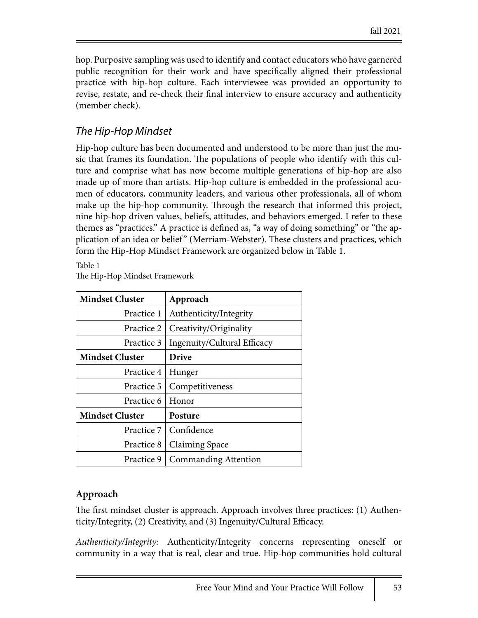hop. Purposive sampling was used to identify and contact educators who have garnered public recognition for their work and have specifically aligned their professional practice with hip-hop culture. Each interviewee was provided an opportunity to revise, restate, and re-check their final interview to ensure accuracy and authenticity (member check).

### *The Hip-Hop Mindset*

Hip-hop culture has been documented and understood to be more than just the music that frames its foundation. The populations of people who identify with this culture and comprise what has now become multiple generations of hip-hop are also made up of more than artists. Hip-hop culture is embedded in the professional acumen of educators, community leaders, and various other professionals, all of whom make up the hip-hop community. Through the research that informed this project, nine hip-hop driven values, beliefs, attitudes, and behaviors emerged. I refer to these themes as "practices." A practice is defined as, "a way of doing something" or "the application of an idea or belief" (Merriam-Webster). These clusters and practices, which form the Hip-Hop Mindset Framework are organized below in Table 1.

Table 1 The Hip-Hop Mindset Framework

| <b>Mindset Cluster</b> | Approach                    |
|------------------------|-----------------------------|
| Practice 1             | Authenticity/Integrity      |
| Practice 2             | Creativity/Originality      |
| Practice 3             | Ingenuity/Cultural Efficacy |
| <b>Mindset Cluster</b> | <b>Drive</b>                |
| Practice 4             | Hunger                      |
| Practice 5             | Competitiveness             |
| Practice 6             | Honor                       |
| <b>Mindset Cluster</b> | Posture                     |
| Practice 7             | Confidence                  |
| Practice 8             | Claiming Space              |
| Practice 9             | <b>Commanding Attention</b> |

### **Approach**

The first mindset cluster is approach. Approach involves three practices: (1) Authenticity/Integrity,  $(2)$  Creativity, and  $(3)$  Ingenuity/Cultural Efficacy.

*Authenticity/Integrity:* Authenticity/Integrity concerns representing oneself or community in a way that is real, clear and true. Hip-hop communities hold cultural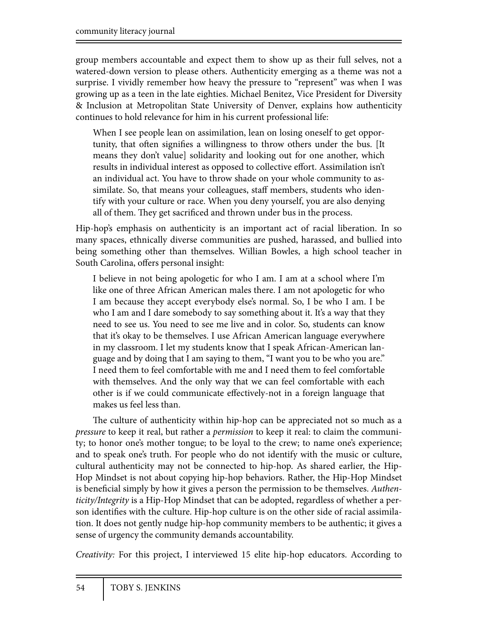group members accountable and expect them to show up as their full selves, not a watered-down version to please others. Authenticity emerging as a theme was not a surprise. I vividly remember how heavy the pressure to "represent" was when I was growing up as a teen in the late eighties. Michael Benitez, Vice President for Diversity & Inclusion at Metropolitan State University of Denver, explains how authenticity continues to hold relevance for him in his current professional life:

When I see people lean on assimilation, lean on losing oneself to get opportunity, that often signifies a willingness to throw others under the bus. [It means they don't value] solidarity and looking out for one another, which results in individual interest as opposed to collective effort. Assimilation isn't an individual act. You have to throw shade on your whole community to assimilate. So, that means your colleagues, staff members, students who identify with your culture or race. When you deny yourself, you are also denying all of them. They get sacrificed and thrown under bus in the process.

Hip-hop's emphasis on authenticity is an important act of racial liberation. In so many spaces, ethnically diverse communities are pushed, harassed, and bullied into being something other than themselves. Willian Bowles, a high school teacher in South Carolina, offers personal insight:

I believe in not being apologetic for who I am. I am at a school where I'm like one of three African American males there. I am not apologetic for who I am because they accept everybody else's normal. So, I be who I am. I be who I am and I dare somebody to say something about it. It's a way that they need to see us. You need to see me live and in color. So, students can know that it's okay to be themselves. I use African American language everywhere in my classroom. I let my students know that I speak African-American language and by doing that I am saying to them, "I want you to be who you are." I need them to feel comfortable with me and I need them to feel comfortable with themselves. And the only way that we can feel comfortable with each other is if we could communicate effectively-not in a foreign language that makes us feel less than.

The culture of authenticity within hip-hop can be appreciated not so much as a *pressure* to keep it real, but rather a *permission* to keep it real: to claim the community; to honor one's mother tongue; to be loyal to the crew; to name one's experience; and to speak one's truth. For people who do not identify with the music or culture, cultural authenticity may not be connected to hip-hop. As shared earlier, the Hip-Hop Mindset is not about copying hip-hop behaviors. Rather, the Hip-Hop Mindset is beneficial simply by how it gives a person the permission to be themselves. *Authenticity/Integrity* is a Hip-Hop Mindset that can be adopted, regardless of whether a person identifies with the culture. Hip-hop culture is on the other side of racial assimilation. It does not gently nudge hip-hop community members to be authentic; it gives a sense of urgency the community demands accountability.

*Creativity:* For this project, I interviewed 15 elite hip-hop educators. According to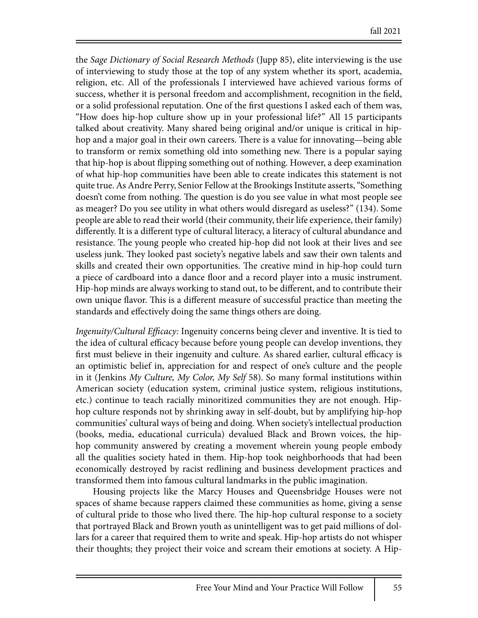the *Sage Dictionary of Social Research Methods* (Jupp 85), elite interviewing is the use of interviewing to study those at the top of any system whether its sport, academia, religion, etc. All of the professionals I interviewed have achieved various forms of success, whether it is personal freedom and accomplishment, recognition in the field, or a solid professional reputation. One of the first questions I asked each of them was, "How does hip-hop culture show up in your professional life?" All 15 participants talked about creativity. Many shared being original and/or unique is critical in hiphop and a major goal in their own careers. There is a value for innovating—being able to transform or remix something old into something new. There is a popular saying that hip-hop is about flipping something out of nothing. However, a deep examination of what hip-hop communities have been able to create indicates this statement is not quite true. As Andre Perry, Senior Fellow at the Brookings Institute asserts, "Something doesn't come from nothing. The question is do you see value in what most people see as meager? Do you see utility in what others would disregard as useless?" (134). Some people are able to read their world (their community, their life experience, their family) differently. It is a different type of cultural literacy, a literacy of cultural abundance and resistance. The young people who created hip-hop did not look at their lives and see useless junk. They looked past society's negative labels and saw their own talents and skills and created their own opportunities. The creative mind in hip-hop could turn a piece of cardboard into a dance floor and a record player into a music instrument. Hip-hop minds are always working to stand out, to be different, and to contribute their own unique flavor. This is a different measure of successful practice than meeting the standards and effectively doing the same things others are doing.

*Ingenuity/Cultural Efficacy:* Ingenuity concerns being clever and inventive. It is tied to the idea of cultural efficacy because before young people can develop inventions, they first must believe in their ingenuity and culture. As shared earlier, cultural efficacy is an optimistic belief in, appreciation for and respect of one's culture and the people in it (Jenkins *My Culture, My Color, My Self* 58). So many formal institutions within American society (education system, criminal justice system, religious institutions, etc.) continue to teach racially minoritized communities they are not enough. Hiphop culture responds not by shrinking away in self-doubt, but by amplifying hip-hop communities' cultural ways of being and doing. When society's intellectual production (books, media, educational curricula) devalued Black and Brown voices, the hiphop community answered by creating a movement wherein young people embody all the qualities society hated in them. Hip-hop took neighborhoods that had been economically destroyed by racist redlining and business development practices and transformed them into famous cultural landmarks in the public imagination.

Housing projects like the Marcy Houses and Queensbridge Houses were not spaces of shame because rappers claimed these communities as home, giving a sense of cultural pride to those who lived there. The hip-hop cultural response to a society that portrayed Black and Brown youth as unintelligent was to get paid millions of dollars for a career that required them to write and speak. Hip-hop artists do not whisper their thoughts; they project their voice and scream their emotions at society. A Hip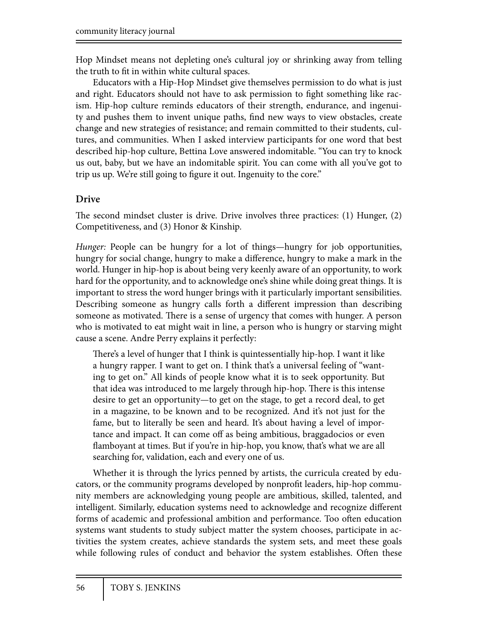Hop Mindset means not depleting one's cultural joy or shrinking away from telling the truth to fit in within white cultural spaces.

Educators with a Hip-Hop Mindset give themselves permission to do what is just and right. Educators should not have to ask permission to fight something like racism. Hip-hop culture reminds educators of their strength, endurance, and ingenuity and pushes them to invent unique paths, find new ways to view obstacles, create change and new strategies of resistance; and remain committed to their students, cultures, and communities. When I asked interview participants for one word that best described hip-hop culture, Bettina Love answered indomitable. "You can try to knock us out, baby, but we have an indomitable spirit. You can come with all you've got to trip us up. We're still going to figure it out. Ingenuity to the core."

### **Drive**

The second mindset cluster is drive. Drive involves three practices: (1) Hunger, (2) Competitiveness, and (3) Honor & Kinship*.* 

*Hunger:* People can be hungry for a lot of things—hungry for job opportunities, hungry for social change, hungry to make a difference, hungry to make a mark in the world. Hunger in hip-hop is about being very keenly aware of an opportunity, to work hard for the opportunity, and to acknowledge one's shine while doing great things. It is important to stress the word hunger brings with it particularly important sensibilities. Describing someone as hungry calls forth a different impression than describing someone as motivated. There is a sense of urgency that comes with hunger. A person who is motivated to eat might wait in line, a person who is hungry or starving might cause a scene. Andre Perry explains it perfectly:

There's a level of hunger that I think is quintessentially hip-hop. I want it like a hungry rapper. I want to get on. I think that's a universal feeling of "wanting to get on." All kinds of people know what it is to seek opportunity. But that idea was introduced to me largely through hip-hop. There is this intense desire to get an opportunity—to get on the stage, to get a record deal, to get in a magazine, to be known and to be recognized. And it's not just for the fame, but to literally be seen and heard. It's about having a level of importance and impact. It can come off as being ambitious, braggadocios or even flamboyant at times. But if you're in hip-hop, you know, that's what we are all searching for, validation, each and every one of us.

Whether it is through the lyrics penned by artists, the curricula created by educators, or the community programs developed by nonprofit leaders, hip-hop community members are acknowledging young people are ambitious, skilled, talented, and intelligent. Similarly, education systems need to acknowledge and recognize different forms of academic and professional ambition and performance. Too often education systems want students to study subject matter the system chooses, participate in activities the system creates, achieve standards the system sets, and meet these goals while following rules of conduct and behavior the system establishes. Often these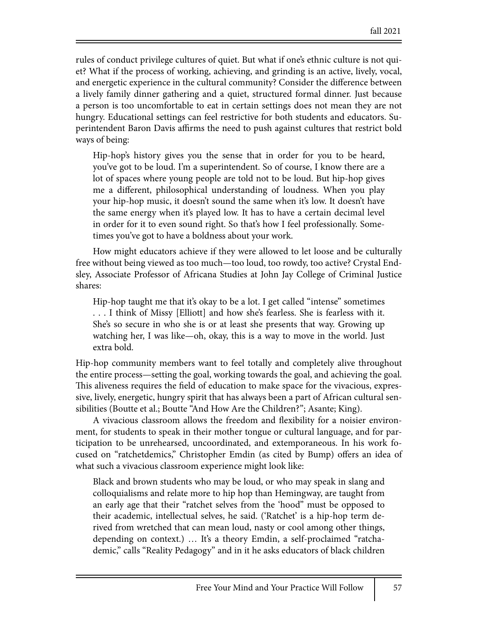rules of conduct privilege cultures of quiet. But what if one's ethnic culture is not quiet? What if the process of working, achieving, and grinding is an active, lively, vocal, and energetic experience in the cultural community? Consider the difference between a lively family dinner gathering and a quiet, structured formal dinner. Just because a person is too uncomfortable to eat in certain settings does not mean they are not hungry. Educational settings can feel restrictive for both students and educators. Superintendent Baron Davis affirms the need to push against cultures that restrict bold ways of being:

Hip-hop's history gives you the sense that in order for you to be heard, you've got to be loud. I'm a superintendent. So of course, I know there are a lot of spaces where young people are told not to be loud. But hip-hop gives me a different, philosophical understanding of loudness. When you play your hip-hop music, it doesn't sound the same when it's low. It doesn't have the same energy when it's played low. It has to have a certain decimal level in order for it to even sound right. So that's how I feel professionally. Sometimes you've got to have a boldness about your work.

How might educators achieve if they were allowed to let loose and be culturally free without being viewed as too much—too loud, too rowdy, too active? Crystal Endsley, Associate Professor of Africana Studies at John Jay College of Criminal Justice shares:

Hip-hop taught me that it's okay to be a lot. I get called "intense" sometimes . . . I think of Missy [Elliott] and how she's fearless. She is fearless with it. She's so secure in who she is or at least she presents that way. Growing up watching her, I was like—oh, okay, this is a way to move in the world. Just extra bold.

Hip-hop community members want to feel totally and completely alive throughout the entire process—setting the goal, working towards the goal, and achieving the goal. This aliveness requires the field of education to make space for the vivacious, expressive, lively, energetic, hungry spirit that has always been a part of African cultural sensibilities (Boutte et al.; Boutte "And How Are the Children?"; Asante; King).

A vivacious classroom allows the freedom and flexibility for a noisier environment, for students to speak in their mother tongue or cultural language, and for participation to be unrehearsed, uncoordinated, and extemporaneous. In his work focused on "ratchetdemics," Christopher Emdin (as cited by Bump) offers an idea of what such a vivacious classroom experience might look like:

Black and brown students who may be loud, or who may speak in slang and colloquialisms and relate more to hip hop than Hemingway, are taught from an early age that their "ratchet selves from the 'hood" must be opposed to their academic, intellectual selves, he said. ('Ratchet' is a hip-hop term derived from wretched that can mean loud, nasty or cool among other things, depending on context.) … It's a theory Emdin, a self-proclaimed "ratchademic," calls "Reality Pedagogy" and in it he asks educators of black children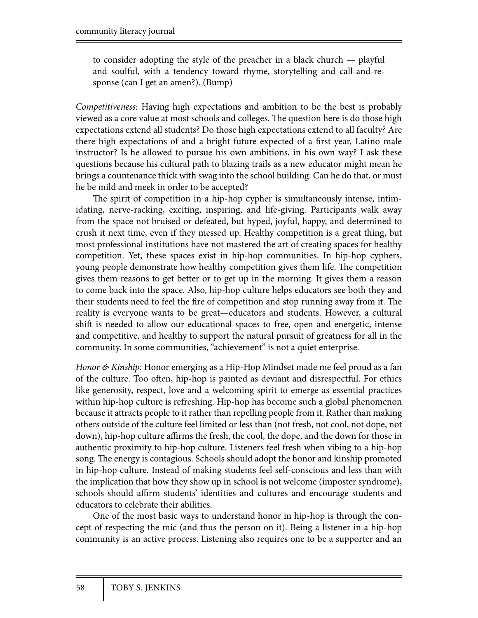to consider adopting the style of the preacher in a black church — playful and soulful, with a tendency toward rhyme, storytelling and call-and-response (can I get an amen?). (Bump)

*Competitiveness:* Having high expectations and ambition to be the best is probably viewed as a core value at most schools and colleges. The question here is do those high expectations extend all students? Do those high expectations extend to all faculty? Are there high expectations of and a bright future expected of a first year, Latino male instructor? Is he allowed to pursue his own ambitions, in his own way? I ask these questions because his cultural path to blazing trails as a new educator might mean he brings a countenance thick with swag into the school building. Can he do that, or must he be mild and meek in order to be accepted?

The spirit of competition in a hip-hop cypher is simultaneously intense, intimidating, nerve-racking, exciting, inspiring, and life-giving. Participants walk away from the space not bruised or defeated, but hyped, joyful, happy, and determined to crush it next time, even if they messed up. Healthy competition is a great thing, but most professional institutions have not mastered the art of creating spaces for healthy competition. Yet, these spaces exist in hip-hop communities. In hip-hop cyphers, young people demonstrate how healthy competition gives them life. The competition gives them reasons to get better or to get up in the morning. It gives them a reason to come back into the space. Also, hip-hop culture helps educators see both they and their students need to feel the fire of competition and stop running away from it. The reality is everyone wants to be great—educators and students. However, a cultural shift is needed to allow our educational spaces to free, open and energetic, intense and competitive, and healthy to support the natural pursuit of greatness for all in the community. In some communities, "achievement" is not a quiet enterprise.

*Honor & Kinship:* Honor emerging as a Hip-Hop Mindset made me feel proud as a fan of the culture. Too often, hip-hop is painted as deviant and disrespectful. For ethics like generosity, respect, love and a welcoming spirit to emerge as essential practices within hip-hop culture is refreshing. Hip-hop has become such a global phenomenon because it attracts people to it rather than repelling people from it. Rather than making others outside of the culture feel limited or less than (not fresh, not cool, not dope, not down), hip-hop culture affirms the fresh, the cool, the dope, and the down for those in authentic proximity to hip-hop culture. Listeners feel fresh when vibing to a hip-hop song. The energy is contagious. Schools should adopt the honor and kinship promoted in hip-hop culture. Instead of making students feel self-conscious and less than with the implication that how they show up in school is not welcome (imposter syndrome), schools should affirm students' identities and cultures and encourage students and educators to celebrate their abilities.

One of the most basic ways to understand honor in hip-hop is through the concept of respecting the mic (and thus the person on it). Being a listener in a hip-hop community is an active process. Listening also requires one to be a supporter and an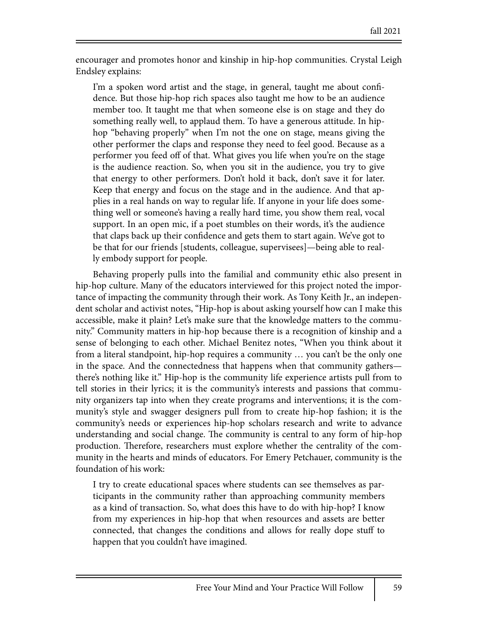encourager and promotes honor and kinship in hip-hop communities. Crystal Leigh Endsley explains:

I'm a spoken word artist and the stage, in general, taught me about confidence. But those hip-hop rich spaces also taught me how to be an audience member too. It taught me that when someone else is on stage and they do something really well, to applaud them. To have a generous attitude. In hiphop "behaving properly" when I'm not the one on stage, means giving the other performer the claps and response they need to feel good. Because as a performer you feed off of that. What gives you life when you're on the stage is the audience reaction. So, when you sit in the audience, you try to give that energy to other performers. Don't hold it back, don't save it for later. Keep that energy and focus on the stage and in the audience. And that applies in a real hands on way to regular life. If anyone in your life does something well or someone's having a really hard time, you show them real, vocal support. In an open mic, if a poet stumbles on their words, it's the audience that claps back up their confidence and gets them to start again. We've got to be that for our friends [students, colleague, supervisees]—being able to really embody support for people.

Behaving properly pulls into the familial and community ethic also present in hip-hop culture. Many of the educators interviewed for this project noted the importance of impacting the community through their work. As Tony Keith Jr., an independent scholar and activist notes, "Hip-hop is about asking yourself how can I make this accessible, make it plain? Let's make sure that the knowledge matters to the community." Community matters in hip-hop because there is a recognition of kinship and a sense of belonging to each other. Michael Benitez notes, "When you think about it from a literal standpoint, hip-hop requires a community … you can't be the only one in the space. And the connectedness that happens when that community gathers there's nothing like it." Hip-hop is the community life experience artists pull from to tell stories in their lyrics; it is the community's interests and passions that community organizers tap into when they create programs and interventions; it is the community's style and swagger designers pull from to create hip-hop fashion; it is the community's needs or experiences hip-hop scholars research and write to advance understanding and social change. The community is central to any form of hip-hop production. Therefore, researchers must explore whether the centrality of the community in the hearts and minds of educators. For Emery Petchauer, community is the foundation of his work:

I try to create educational spaces where students can see themselves as participants in the community rather than approaching community members as a kind of transaction. So, what does this have to do with hip-hop? I know from my experiences in hip-hop that when resources and assets are better connected, that changes the conditions and allows for really dope stuff to happen that you couldn't have imagined.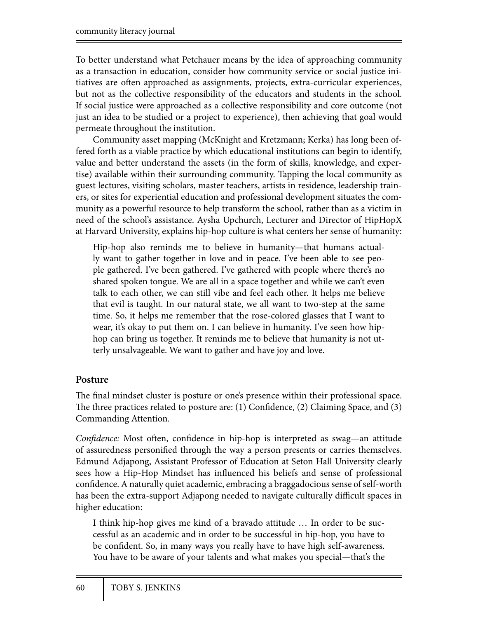To better understand what Petchauer means by the idea of approaching community as a transaction in education, consider how community service or social justice initiatives are often approached as assignments, projects, extra-curricular experiences, but not as the collective responsibility of the educators and students in the school. If social justice were approached as a collective responsibility and core outcome (not just an idea to be studied or a project to experience), then achieving that goal would permeate throughout the institution.

Community asset mapping (McKnight and Kretzmann; Kerka) has long been offered forth as a viable practice by which educational institutions can begin to identify, value and better understand the assets (in the form of skills, knowledge, and expertise) available within their surrounding community. Tapping the local community as guest lectures, visiting scholars, master teachers, artists in residence, leadership trainers, or sites for experiential education and professional development situates the community as a powerful resource to help transform the school, rather than as a victim in need of the school's assistance. Aysha Upchurch, Lecturer and Director of HipHopX at Harvard University, explains hip-hop culture is what centers her sense of humanity:

Hip-hop also reminds me to believe in humanity—that humans actually want to gather together in love and in peace. I've been able to see people gathered. I've been gathered. I've gathered with people where there's no shared spoken tongue. We are all in a space together and while we can't even talk to each other, we can still vibe and feel each other. It helps me believe that evil is taught. In our natural state, we all want to two-step at the same time. So, it helps me remember that the rose-colored glasses that I want to wear, it's okay to put them on. I can believe in humanity. I've seen how hiphop can bring us together. It reminds me to believe that humanity is not utterly unsalvageable. We want to gather and have joy and love.

### **Posture**

The final mindset cluster is posture or one's presence within their professional space. The three practices related to posture are:  $(1)$  Confidence,  $(2)$  Claiming Space, and  $(3)$ Commanding Attention*.* 

*Confidence:* Most often, confidence in hip-hop is interpreted as swag—an attitude of assuredness personified through the way a person presents or carries themselves. Edmund Adjapong, Assistant Professor of Education at Seton Hall University clearly sees how a Hip-Hop Mindset has influenced his beliefs and sense of professional confidence. A naturally quiet academic, embracing a braggadocious sense of self-worth has been the extra-support Adjapong needed to navigate culturally difficult spaces in higher education:

I think hip-hop gives me kind of a bravado attitude … In order to be successful as an academic and in order to be successful in hip-hop, you have to be confident. So, in many ways you really have to have high self-awareness. You have to be aware of your talents and what makes you special—that's the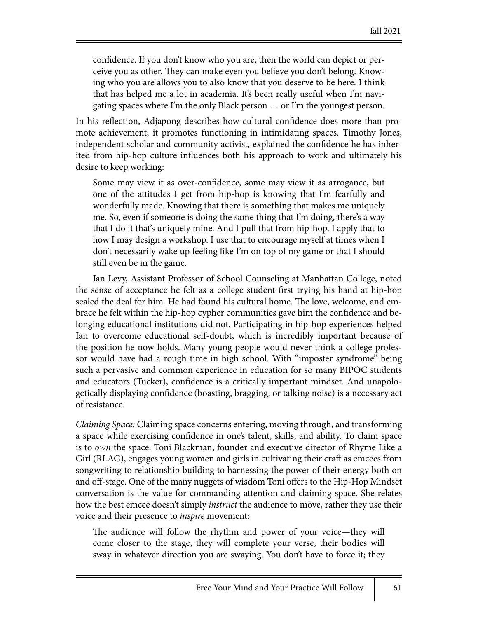confidence. If you don't know who you are, then the world can depict or perceive you as other. They can make even you believe you don't belong. Knowing who you are allows you to also know that you deserve to be here. I think that has helped me a lot in academia. It's been really useful when I'm navigating spaces where I'm the only Black person … or I'm the youngest person.

In his reflection, Adjapong describes how cultural confidence does more than promote achievement; it promotes functioning in intimidating spaces. Timothy Jones, independent scholar and community activist, explained the confidence he has inherited from hip-hop culture influences both his approach to work and ultimately his desire to keep working:

Some may view it as over-confidence, some may view it as arrogance, but one of the attitudes I get from hip-hop is knowing that I'm fearfully and wonderfully made. Knowing that there is something that makes me uniquely me. So, even if someone is doing the same thing that I'm doing, there's a way that I do it that's uniquely mine. And I pull that from hip-hop. I apply that to how I may design a workshop. I use that to encourage myself at times when I don't necessarily wake up feeling like I'm on top of my game or that I should still even be in the game.

Ian Levy, Assistant Professor of School Counseling at Manhattan College, noted the sense of acceptance he felt as a college student first trying his hand at hip-hop sealed the deal for him. He had found his cultural home. The love, welcome, and embrace he felt within the hip-hop cypher communities gave him the confidence and belonging educational institutions did not. Participating in hip-hop experiences helped Ian to overcome educational self-doubt, which is incredibly important because of the position he now holds. Many young people would never think a college professor would have had a rough time in high school. With "imposter syndrome" being such a pervasive and common experience in education for so many BIPOC students and educators (Tucker), confidence is a critically important mindset. And unapologetically displaying confidence (boasting, bragging, or talking noise) is a necessary act of resistance.

*Claiming Space:* Claiming space concerns entering, moving through, and transforming a space while exercising confidence in one's talent, skills, and ability. To claim space is to *own* the space. Toni Blackman, founder and executive director of Rhyme Like a Girl (RLAG), engages young women and girls in cultivating their craft as emcees from songwriting to relationship building to harnessing the power of their energy both on and off-stage. One of the many nuggets of wisdom Toni offers to the Hip-Hop Mindset conversation is the value for commanding attention and claiming space. She relates how the best emcee doesn't simply *instruct* the audience to move, rather they use their voice and their presence to *inspire* movement:

The audience will follow the rhythm and power of your voice—they will come closer to the stage, they will complete your verse, their bodies will sway in whatever direction you are swaying. You don't have to force it; they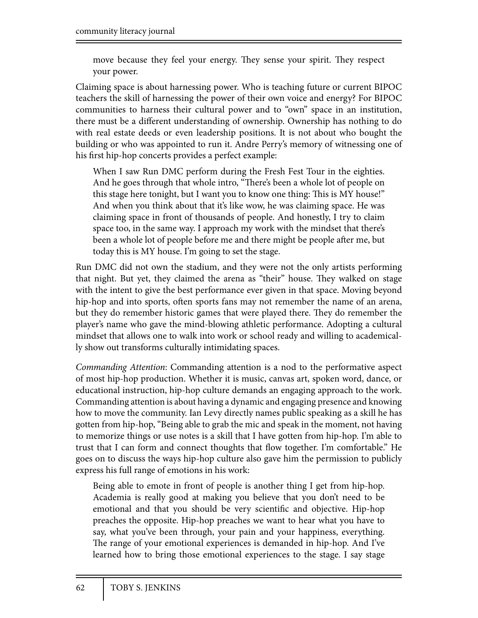move because they feel your energy. They sense your spirit. They respect your power.

Claiming space is about harnessing power. Who is teaching future or current BIPOC teachers the skill of harnessing the power of their own voice and energy? For BIPOC communities to harness their cultural power and to "own" space in an institution, there must be a different understanding of ownership. Ownership has nothing to do with real estate deeds or even leadership positions. It is not about who bought the building or who was appointed to run it. Andre Perry's memory of witnessing one of his first hip-hop concerts provides a perfect example:

When I saw Run DMC perform during the Fresh Fest Tour in the eighties. And he goes through that whole intro, "There's been a whole lot of people on this stage here tonight, but I want you to know one thing: This is MY house!" And when you think about that it's like wow, he was claiming space. He was claiming space in front of thousands of people. And honestly, I try to claim space too, in the same way. I approach my work with the mindset that there's been a whole lot of people before me and there might be people after me, but today this is MY house. I'm going to set the stage.

Run DMC did not own the stadium, and they were not the only artists performing that night. But yet, they claimed the arena as "their" house. They walked on stage with the intent to give the best performance ever given in that space. Moving beyond hip-hop and into sports, often sports fans may not remember the name of an arena, but they do remember historic games that were played there. They do remember the player's name who gave the mind-blowing athletic performance. Adopting a cultural mindset that allows one to walk into work or school ready and willing to academically show out transforms culturally intimidating spaces.

*Commanding Attention*: Commanding attention is a nod to the performative aspect of most hip-hop production. Whether it is music, canvas art, spoken word, dance, or educational instruction, hip-hop culture demands an engaging approach to the work. Commanding attention is about having a dynamic and engaging presence and knowing how to move the community. Ian Levy directly names public speaking as a skill he has gotten from hip-hop, "Being able to grab the mic and speak in the moment, not having to memorize things or use notes is a skill that I have gotten from hip-hop. I'm able to trust that I can form and connect thoughts that flow together. I'm comfortable." He goes on to discuss the ways hip-hop culture also gave him the permission to publicly express his full range of emotions in his work:

Being able to emote in front of people is another thing I get from hip-hop. Academia is really good at making you believe that you don't need to be emotional and that you should be very scientific and objective. Hip-hop preaches the opposite. Hip-hop preaches we want to hear what you have to say, what you've been through, your pain and your happiness, everything. The range of your emotional experiences is demanded in hip-hop. And I've learned how to bring those emotional experiences to the stage. I say stage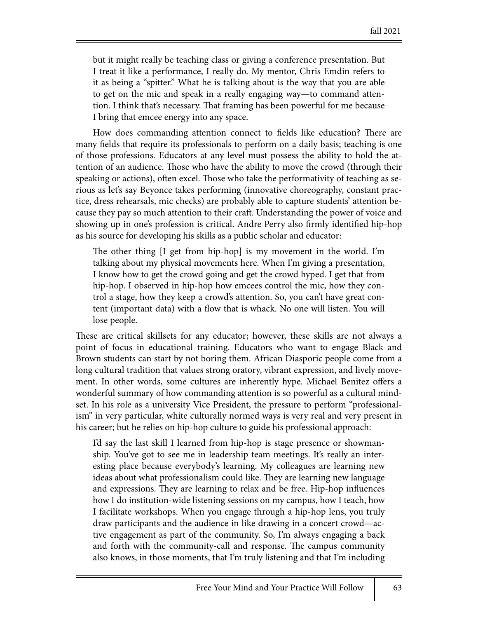but it might really be teaching class or giving a conference presentation. But I treat it like a performance, I really do. My mentor, Chris Emdin refers to it as being a "spitter." What he is talking about is the way that you are able to get on the mic and speak in a really engaging way—to command attention. I think that's necessary. That framing has been powerful for me because I bring that emcee energy into any space.

How does commanding attention connect to fields like education? There are many fields that require its professionals to perform on a daily basis; teaching is one of those professions. Educators at any level must possess the ability to hold the attention of an audience. Those who have the ability to move the crowd (through their speaking or actions), often excel. Those who take the performativity of teaching as serious as let's say Beyonce takes performing (innovative choreography, constant practice, dress rehearsals, mic checks) are probably able to capture students' attention because they pay so much attention to their craft. Understanding the power of voice and showing up in one's profession is critical. Andre Perry also firmly identified hip-hop as his source for developing his skills as a public scholar and educator:

The other thing [I get from hip-hop] is my movement in the world. I'm talking about my physical movements here. When I'm giving a presentation, I know how to get the crowd going and get the crowd hyped. I get that from hip-hop. I observed in hip-hop how emcees control the mic, how they control a stage, how they keep a crowd's attention. So, you can't have great content (important data) with a flow that is whack. No one will listen. You will lose people.

These are critical skillsets for any educator; however, these skills are not always a point of focus in educational training. Educators who want to engage Black and Brown students can start by not boring them. African Diasporic people come from a long cultural tradition that values strong oratory, vibrant expression, and lively movement. In other words, some cultures are inherently hype. Michael Benitez offers a wonderful summary of how commanding attention is so powerful as a cultural mindset. In his role as a university Vice President, the pressure to perform "professionalism" in very particular, white culturally normed ways is very real and very present in his career; but he relies on hip-hop culture to guide his professional approach:

I'd say the last skill I learned from hip-hop is stage presence or showmanship. You've got to see me in leadership team meetings. It's really an interesting place because everybody's learning. My colleagues are learning new ideas about what professionalism could like. They are learning new language and expressions. They are learning to relax and be free. Hip-hop influences how I do institution-wide listening sessions on my campus, how I teach, how I facilitate workshops. When you engage through a hip-hop lens, you truly draw participants and the audience in like drawing in a concert crowd—active engagement as part of the community. So, I'm always engaging a back and forth with the community-call and response. The campus community also knows, in those moments, that I'm truly listening and that I'm including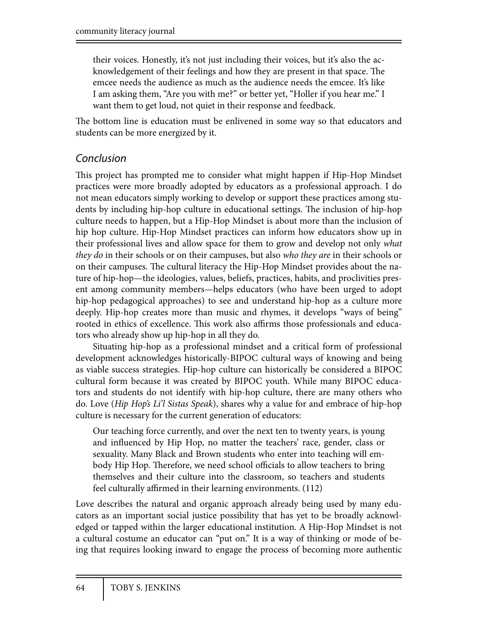their voices. Honestly, it's not just including their voices, but it's also the acknowledgement of their feelings and how they are present in that space. The emcee needs the audience as much as the audience needs the emcee. It's like I am asking them, "Are you with me?" or better yet, "Holler if you hear me." I want them to get loud, not quiet in their response and feedback.

The bottom line is education must be enlivened in some way so that educators and students can be more energized by it.

### *Conclusion*

This project has prompted me to consider what might happen if Hip-Hop Mindset practices were more broadly adopted by educators as a professional approach. I do not mean educators simply working to develop or support these practices among students by including hip-hop culture in educational settings. The inclusion of hip-hop culture needs to happen, but a Hip-Hop Mindset is about more than the inclusion of hip hop culture. Hip-Hop Mindset practices can inform how educators show up in their professional lives and allow space for them to grow and develop not only *what they do* in their schools or on their campuses, but also *who they are* in their schools or on their campuses. The cultural literacy the Hip-Hop Mindset provides about the nature of hip-hop—the ideologies, values, beliefs, practices, habits, and proclivities present among community members—helps educators (who have been urged to adopt hip-hop pedagogical approaches) to see and understand hip-hop as a culture more deeply. Hip-hop creates more than music and rhymes, it develops "ways of being" rooted in ethics of excellence. This work also affirms those professionals and educators who already show up hip-hop in all they do.

Situating hip-hop as a professional mindset and a critical form of professional development acknowledges historically-BIPOC cultural ways of knowing and being as viable success strategies. Hip-hop culture can historically be considered a BIPOC cultural form because it was created by BIPOC youth. While many BIPOC educators and students do not identify with hip-hop culture, there are many others who do. Love (*Hip Hop's Li'l Sistas Speak*), shares why a value for and embrace of hip-hop culture is necessary for the current generation of educators:

Our teaching force currently, and over the next ten to twenty years, is young and influenced by Hip Hop, no matter the teachers' race, gender, class or sexuality. Many Black and Brown students who enter into teaching will embody Hip Hop. Therefore, we need school officials to allow teachers to bring themselves and their culture into the classroom, so teachers and students feel culturally affirmed in their learning environments. (112)

Love describes the natural and organic approach already being used by many educators as an important social justice possibility that has yet to be broadly acknowledged or tapped within the larger educational institution. A Hip-Hop Mindset is not a cultural costume an educator can "put on." It is a way of thinking or mode of being that requires looking inward to engage the process of becoming more authentic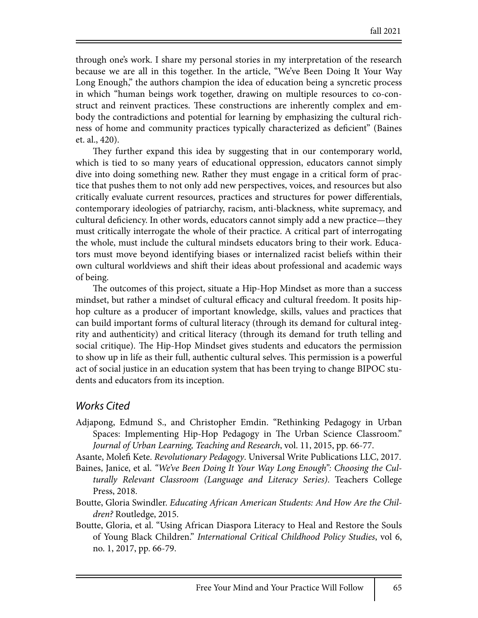through one's work. I share my personal stories in my interpretation of the research because we are all in this together. In the article, "We've Been Doing It Your Way Long Enough," the authors champion the idea of education being a syncretic process in which "human beings work together, drawing on multiple resources to co-construct and reinvent practices. These constructions are inherently complex and embody the contradictions and potential for learning by emphasizing the cultural richness of home and community practices typically characterized as deficient" (Baines et. al., 420).

They further expand this idea by suggesting that in our contemporary world, which is tied to so many years of educational oppression, educators cannot simply dive into doing something new. Rather they must engage in a critical form of practice that pushes them to not only add new perspectives, voices, and resources but also critically evaluate current resources, practices and structures for power differentials, contemporary ideologies of patriarchy, racism, anti-blackness, white supremacy, and cultural deficiency. In other words, educators cannot simply add a new practice—they must critically interrogate the whole of their practice. A critical part of interrogating the whole, must include the cultural mindsets educators bring to their work. Educators must move beyond identifying biases or internalized racist beliefs within their own cultural worldviews and shift their ideas about professional and academic ways of being.

The outcomes of this project, situate a Hip-Hop Mindset as more than a success mindset, but rather a mindset of cultural efficacy and cultural freedom. It posits hiphop culture as a producer of important knowledge, skills, values and practices that can build important forms of cultural literacy (through its demand for cultural integrity and authenticity) and critical literacy (through its demand for truth telling and social critique). The Hip-Hop Mindset gives students and educators the permission to show up in life as their full, authentic cultural selves. This permission is a powerful act of social justice in an education system that has been trying to change BIPOC students and educators from its inception.

#### *Works Cited*

Adjapong, Edmund S., and Christopher Emdin. "Rethinking Pedagogy in Urban Spaces: Implementing Hip-Hop Pedagogy in The Urban Science Classroom." *Journal of Urban Learning, Teaching and Research*, vol. 11, 2015, pp. 66-77.

Asante, Mole! Kete. *Revolutionary Pedagogy*. Universal Write Publications LLC, 2017.

- Baines, Janice, et al. *"We've Been Doing It Your Way Long Enough": Choosing the Culturally Relevant Classroom (Language and Literacy Series)*. Teachers College Press, 2018.
- Boutte, Gloria Swindler. *Educating African American Students: And How Are the Children?* Routledge, 2015.
- Boutte, Gloria, et al. "Using African Diaspora Literacy to Heal and Restore the Souls of Young Black Children." *International Critical Childhood Policy Studies*, vol 6, no. 1, 2017, pp. 66-79.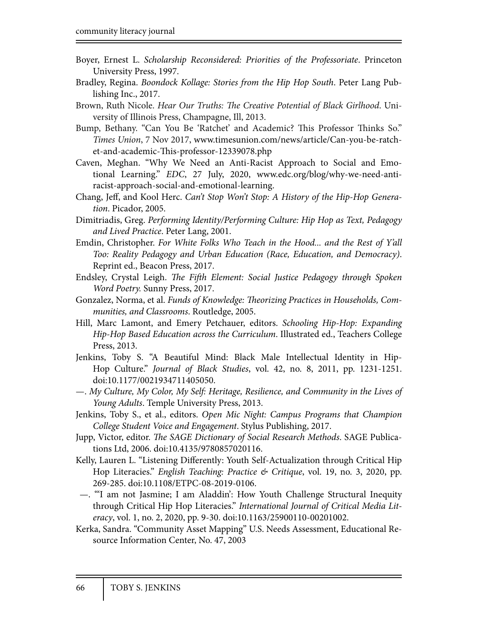- Boyer, Ernest L. *Scholarship Reconsidered: Priorities of the Professoriate*. Princeton University Press, 1997.
- Bradley, Regina. *Boondock Kollage: Stories from the Hip Hop South*. Peter Lang Publishing Inc., 2017.
- Brown, Ruth Nicole. *Hear Our Truths:* !*e Creative Potential of Black Girlhood*. University of Illinois Press, Champagne, Ill, 2013.
- Bump, Bethany. "Can You Be 'Ratchet' and Academic? This Professor Thinks So." *Times Union*, 7 Nov 2017, www.timesunion.com/news/article/Can-you-be-ratchet-and-academic-This-professor-12339078.php
- Caven, Meghan. "Why We Need an Anti-Racist Approach to Social and Emotional Learning." *EDC*, 27 July, 2020, www.edc.org/blog/why-we-need-antiracist-approach-social-and-emotional-learning.
- Chang, Jeff, and Kool Herc. *Can't Stop Won't Stop: A History of the Hip-Hop Generation*. Picador, 2005.
- Dimitriadis, Greg. *Performing Identity/Performing Culture: Hip Hop as Text, Pedagogy and Lived Practice*. Peter Lang, 2001.
- Emdin, Christopher. *For White Folks Who Teach in the Hood... and the Rest of Y'all Too: Reality Pedagogy and Urban Education (Race, Education, and Democracy)*. Reprint ed., Beacon Press, 2017.
- Endsley, Crystal Leigh. *The Fifth Element: Social Justice Pedagogy through Spoken Word Poetry.* Sunny Press, 2017.
- Gonzalez, Norma, et al. *Funds of Knowledge: Theorizing Practices in Households, Communities, and Classrooms*. Routledge, 2005.
- Hill, Marc Lamont, and Emery Petchauer, editors. *Schooling Hip-Hop: Expanding Hip-Hop Based Education across the Curriculum*. Illustrated ed., Teachers College Press, 2013.
- Jenkins, Toby S. "A Beautiful Mind: Black Male Intellectual Identity in Hip-Hop Culture." *Journal of Black Studies*, vol. 42, no. 8, 2011, pp. 1231-1251. doi:10.1177/0021934711405050.
- —. *My Culture, My Color, My Self: Heritage, Resilience, and Community in the Lives of Young Adults*. Temple University Press, 2013.
- Jenkins, Toby S., et al., editors. *Open Mic Night: Campus Programs that Champion College Student Voice and Engagement*. Stylus Publishing, 2017.
- Jupp, Victor, editor. *The SAGE Dictionary of Social Research Methods*. SAGE Publications Ltd, 2006. doi:10.4135/9780857020116.
- Kelly, Lauren L. "Listening Differently: Youth Self-Actualization through Critical Hip Hop Literacies." *English Teaching: Practice & Critique*, vol. 19, no. 3, 2020, pp. 269-285. doi:10.1108/ETPC-08-2019-0106.
- —. "'I am not Jasmine; I am Aladdin': How Youth Challenge Structural Inequity through Critical Hip Hop Literacies." *International Journal of Critical Media Literacy*, vol. 1, no. 2, 2020, pp. 9-30. doi:10.1163/25900110-00201002.
- Kerka, Sandra. "Community Asset Mapping" U.S. Needs Assessment, Educational Resource Information Center, No. 47, 2003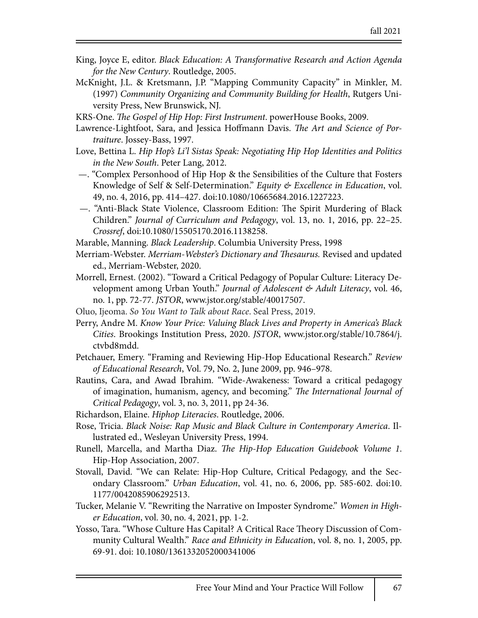- King, Joyce E, editor. *Black Education: A Transformative Research and Action Agenda for the New Century*. Routledge, 2005.
- McKnight, J.L. & Kretsmann, J.P. "Mapping Community Capacity" in Minkler, M. (1997) *Community Organizing and Community Building for Health*, Rutgers University Press, New Brunswick, NJ.
- KRS-One. !*e Gospel of Hip Hop: First Instrument*. powerHouse Books, 2009.
- Lawrence-Lightfoot, Sara, and Jessica Hoffmann Davis. *The Art and Science of Portraiture*. Jossey-Bass, 1997.
- Love, Bettina L. *Hip Hop's Li'l Sistas Speak: Negotiating Hip Hop Identities and Politics in the New South*. Peter Lang, 2012.
- —. "Complex Personhood of Hip Hop & the Sensibilities of the Culture that Fosters Knowledge of Self & Self-Determination." *Equity & Excellence in Education*, vol. 49, no. 4, 2016, pp. 414–427. doi:10.1080/10665684.2016.1227223.
- —. "Anti-Black State Violence, Classroom Edition: The Spirit Murdering of Black Children." *Journal of Curriculum and Pedagogy*, vol. 13, no. 1, 2016, pp. 22–25. *Crossref*, doi:10.1080/15505170.2016.1138258.

Marable, Manning. *Black Leadership*. Columbia University Press, 1998

- Merriam-Webster. *Merriam-Webster's Dictionary and* !*esaurus.* Revised and updated ed., Merriam-Webster, 2020.
- Morrell, Ernest. (2002). "Toward a Critical Pedagogy of Popular Culture: Literacy Development among Urban Youth." *Journal of Adolescent & Adult Literacy*, vol. 46, no. 1, pp. 72-77. *JSTOR*, www.jstor.org/stable/40017507.
- Oluo, Ijeoma. *So You Want to Talk about Race*. Seal Press, 2019.
- Perry, Andre M. *Know Your Price: Valuing Black Lives and Property in America's Black Cities*. Brookings Institution Press, 2020. *JSTOR*, www.jstor.org/stable/10.7864/j. ctvbd8mdd.
- Petchauer, Emery. "Framing and Reviewing Hip-Hop Educational Research." *Review of Educational Research*, Vol. 79, No. 2, June 2009, pp. 946–978.
- Rautins, Cara, and Awad Ibrahim. "Wide-Awakeness: Toward a critical pedagogy of imagination, humanism, agency, and becoming." !*e International Journal of Critical Pedagogy*, vol. 3, no. 3, 2011, pp 24-36.
- Richardson, Elaine. *Hiphop Literacies*. Routledge, 2006.
- Rose, Tricia. *Black Noise: Rap Music and Black Culture in Contemporary America*. Illustrated ed., Wesleyan University Press, 1994.
- Runell, Marcella, and Martha Diaz. !*e Hip-Hop Education Guidebook Volume 1*. Hip-Hop Association, 2007.
- Stovall, David. "We can Relate: Hip-Hop Culture, Critical Pedagogy, and the Secondary Classroom." *Urban Education*, vol. 41, no. 6, 2006, pp. 585-602. doi:10. 1177/0042085906292513.
- Tucker, Melanie V. "Rewriting the Narrative on Imposter Syndrome." *Women in Higher Education*, vol. 30, no. 4, 2021, pp. 1-2.
- Yosso, Tara. "Whose Culture Has Capital? A Critical Race Theory Discussion of Community Cultural Wealth." *Race and Ethnicity in Educatio*n, vol. 8, no. 1, 2005, pp. 69-91. doi: 10.1080/1361332052000341006